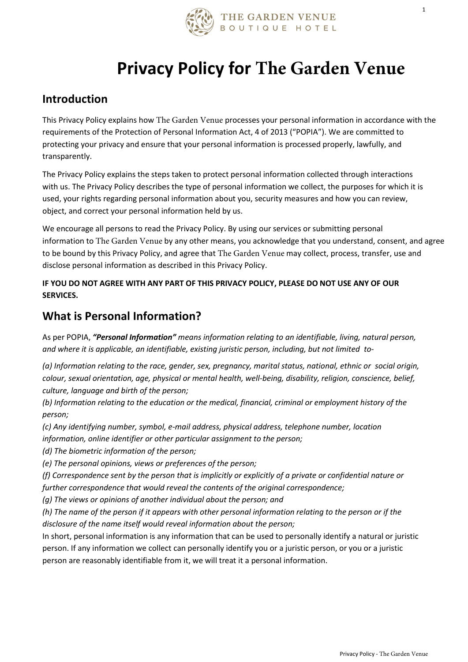

# **Privacy Policy for The Garden Venue**

#### **Introduction**

This Privacy Policy explains how The Garden Venue processes your personal information in accordance with the requirements of the Protection of Personal Information Act, 4 of 2013 ("POPIA"). We are committed to protecting your privacy and ensure that your personal information is processed properly, lawfully, and transparently.

The Privacy Policy explains the steps taken to protect personal information collected through interactions with us. The Privacy Policy describes the type of personal information we collect, the purposes for which it is used, your rights regarding personal information about you, security measures and how you can review, object, and correct your personal information held by us.

We encourage all persons to read the Privacy Policy. By using our services or submitting personal information to The Garden Venue by any other means, you acknowledge that you understand, consent, and agree to be bound by this Privacy Policy, and agree that The Garden Venue may collect, process, transfer, use and disclose personal information as described in this Privacy Policy.

**IF YOU DO NOT AGREE WITH ANY PART OF THIS PRIVACY POLICY, PLEASE DO NOT USE ANY OF OUR SERVICES.**

#### **What is Personal Information?**

As per POPIA, *"Personal Information" means information relating to an identifiable, living, natural person, and where it is applicable, an identifiable, existing juristic person, including, but not limited to-*

*(a) Information relating to the race, gender, sex, pregnancy, marital status, national, ethnic or social origin, colour, sexual orientation, age, physical or mental health, well-being, disability, religion, conscience, belief, culture, language and birth of the person;*

*(b) Information relating to the education or the medical, financial, criminal or employment history of the person;*

*(c) Any identifying number, symbol, e-mail address, physical address, telephone number, location information, online identifier or other particular assignment to the person;*

*(d) The biometric information of the person;*

*(e) The personal opinions, views or preferences of the person;*

*(f) Correspondence sent by the person that is implicitly or explicitly of a private or confidential nature or further correspondence that would reveal the contents of the original correspondence;*

*(g) The views or opinions of another individual about the person; and*

*(h) The name of the person if it appears with other personal information relating to the person or if the disclosure of the name itself would reveal information about the person;*

In short, personal information is any information that can be used to personally identify a natural or juristic person. If any information we collect can personally identify you or a juristic person, or you or a juristic person are reasonably identifiable from it, we will treat it a personal information.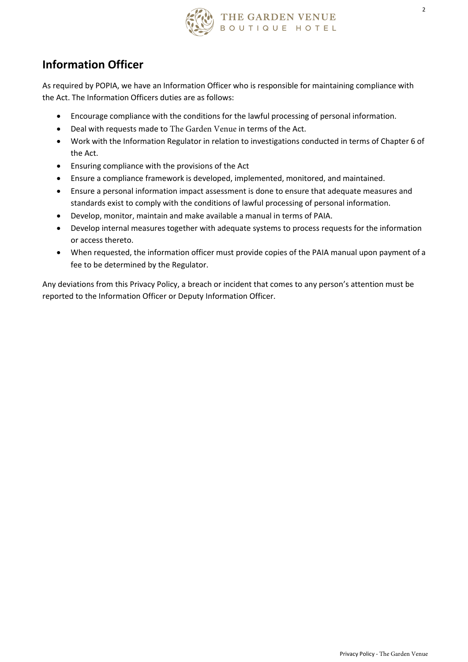

# **Information Officer**

As required by POPIA, we have an Information Officer who is responsible for maintaining compliance with the Act. The Information Officers duties are as follows:

- Encourage compliance with the conditions for the lawful processing of personal information.
- Deal with requests made to The Garden Venue in terms of the Act.
- Work with the Information Regulator in relation to investigations conducted in terms of Chapter 6 of the Act.
- Ensuring compliance with the provisions of the Act
- Ensure a compliance framework is developed, implemented, monitored, and maintained.
- Ensure a personal information impact assessment is done to ensure that adequate measures and standards exist to comply with the conditions of lawful processing of personal information.
- Develop, monitor, maintain and make available a manual in terms of PAIA.
- Develop internal measures together with adequate systems to process requests for the information or access thereto.
- When requested, the information officer must provide copies of the PAIA manual upon payment of a fee to be determined by the Regulator.

Any deviations from this Privacy Policy, a breach or incident that comes to any person's attention must be reported to the Information Officer or Deputy Information Officer.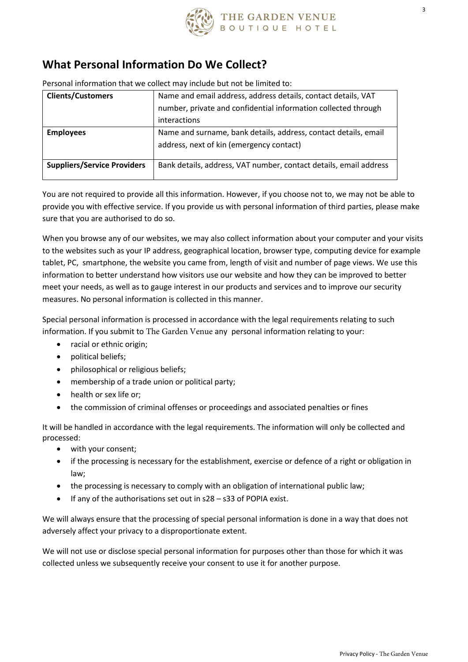

#### **What Personal Information Do We Collect?**

Personal information that we collect may include but not be limited to:

| <b>Clients/Customers</b>           | Name and email address, address details, contact details, VAT     |  |
|------------------------------------|-------------------------------------------------------------------|--|
|                                    | number, private and confidential information collected through    |  |
|                                    | interactions                                                      |  |
| <b>Employees</b>                   | Name and surname, bank details, address, contact details, email   |  |
|                                    | address, next of kin (emergency contact)                          |  |
| <b>Suppliers/Service Providers</b> | Bank details, address, VAT number, contact details, email address |  |

You are not required to provide all this information. However, if you choose not to, we may not be able to provide you with effective service. If you provide us with personal information of third parties, please make sure that you are authorised to do so.

When you browse any of our websites, we may also collect information about your computer and your visits to the websites such as your IP address, geographical location, browser type, computing device for example tablet, PC, smartphone, the website you came from, length of visit and number of page views. We use this information to better understand how visitors use our website and how they can be improved to better meet your needs, as well as to gauge interest in our products and services and to improve our security measures. No personal information is collected in this manner.

Special personal information is processed in accordance with the legal requirements relating to such information. If you submit to The Garden Venue any personal information relating to your:

- racial or ethnic origin;
- political beliefs;
- philosophical or religious beliefs;
- membership of a trade union or political party;
- health or sex life or;
- the commission of criminal offenses or proceedings and associated penalties or fines

It will be handled in accordance with the legal requirements. The information will only be collected and processed:

- with your consent;
- if the processing is necessary for the establishment, exercise or defence of a right or obligation in law;
- the processing is necessary to comply with an obligation of international public law;
- If any of the authorisations set out in s28 s33 of POPIA exist.

We will always ensure that the processing of special personal information is done in a way that does not adversely affect your privacy to a disproportionate extent.

We will not use or disclose special personal information for purposes other than those for which it was collected unless we subsequently receive your consent to use it for another purpose.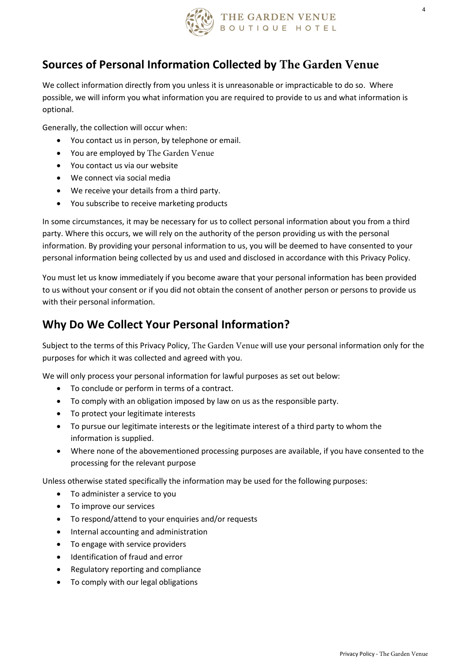

4

#### **Sources of Personal Information Collected by The Garden Venue**

We collect information directly from you unless it is unreasonable or impracticable to do so. Where possible, we will inform you what information you are required to provide to us and what information is optional.

Generally, the collection will occur when:

- You contact us in person, by telephone or email.
- You are employed by The Garden Venue
- You contact us via our website
- We connect via social media
- We receive your details from a third party.
- You subscribe to receive marketing products

In some circumstances, it may be necessary for us to collect personal information about you from a third party. Where this occurs, we will rely on the authority of the person providing us with the personal information. By providing your personal information to us, you will be deemed to have consented to your personal information being collected by us and used and disclosed in accordance with this Privacy Policy.

You must let us know immediately if you become aware that your personal information has been provided to us without your consent or if you did not obtain the consent of another person or persons to provide us with their personal information.

#### **Why Do We Collect Your Personal Information?**

Subject to the terms of this Privacy Policy, The Garden Venue will use your personal information only for the purposes for which it was collected and agreed with you.

We will only process your personal information for lawful purposes as set out below:

- To conclude or perform in terms of a contract.
- To comply with an obligation imposed by law on us as the responsible party.
- To protect your legitimate interests
- To pursue our legitimate interests or the legitimate interest of a third party to whom the information is supplied.
- Where none of the abovementioned processing purposes are available, if you have consented to the processing for the relevant purpose

Unless otherwise stated specifically the information may be used for the following purposes:

- To administer a service to you
- To improve our services
- To respond/attend to your enquiries and/or requests
- Internal accounting and administration
- To engage with service providers
- Identification of fraud and error
- Regulatory reporting and compliance
- To comply with our legal obligations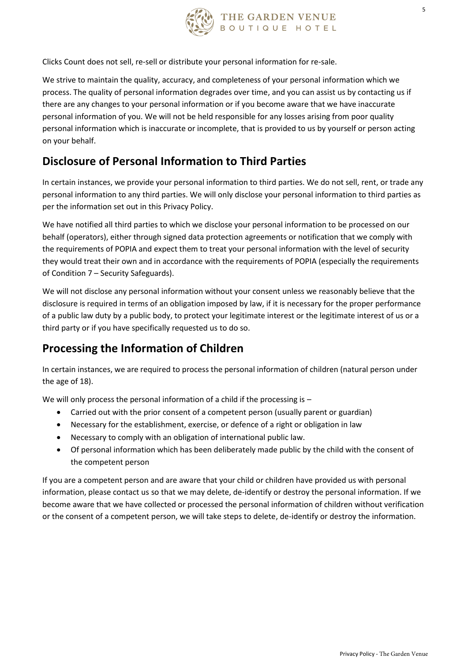

Clicks Count does not sell, re-sell or distribute your personal information for re-sale.

We strive to maintain the quality, accuracy, and completeness of your personal information which we process. The quality of personal information degrades over time, and you can assist us by contacting us if there are any changes to your personal information or if you become aware that we have inaccurate personal information of you. We will not be held responsible for any losses arising from poor quality personal information which is inaccurate or incomplete, that is provided to us by yourself or person acting on your behalf.

# **Disclosure of Personal Information to Third Parties**

In certain instances, we provide your personal information to third parties. We do not sell, rent, or trade any personal information to any third parties. We will only disclose your personal information to third parties as per the information set out in this Privacy Policy.

We have notified all third parties to which we disclose your personal information to be processed on our behalf (operators), either through signed data protection agreements or notification that we comply with the requirements of POPIA and expect them to treat your personal information with the level of security they would treat their own and in accordance with the requirements of POPIA (especially the requirements of Condition 7 – Security Safeguards).

We will not disclose any personal information without your consent unless we reasonably believe that the disclosure is required in terms of an obligation imposed by law, if it is necessary for the proper performance of a public law duty by a public body, to protect your legitimate interest or the legitimate interest of us or a third party or if you have specifically requested us to do so.

# **Processing the Information of Children**

In certain instances, we are required to process the personal information of children (natural person under the age of 18).

We will only process the personal information of a child if the processing is -

- Carried out with the prior consent of a competent person (usually parent or guardian)
- Necessary for the establishment, exercise, or defence of a right or obligation in law
- Necessary to comply with an obligation of international public law.
- Of personal information which has been deliberately made public by the child with the consent of the competent person

If you are a competent person and are aware that your child or children have provided us with personal information, please contact us so that we may delete, de-identify or destroy the personal information. If we become aware that we have collected or processed the personal information of children without verification or the consent of a competent person, we will take steps to delete, de-identify or destroy the information.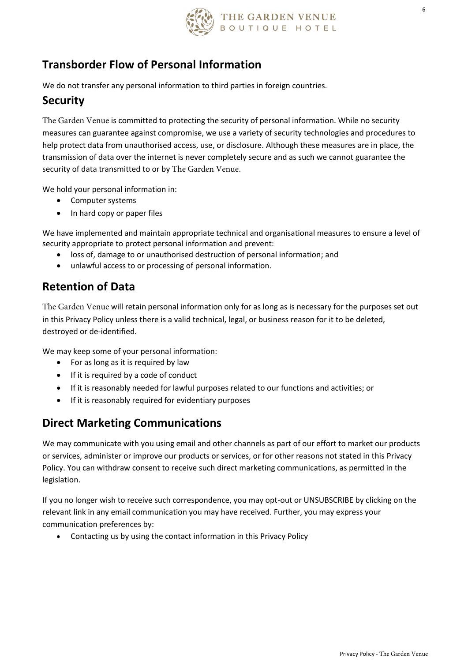

6

#### **Transborder Flow of Personal Information**

We do not transfer any personal information to third parties in foreign countries.

#### **Security**

The Garden Venue is committed to protecting the security of personal information. While no security measures can guarantee against compromise, we use a variety of security technologies and procedures to help protect data from unauthorised access, use, or disclosure. Although these measures are in place, the transmission of data over the internet is never completely secure and as such we cannot guarantee the security of data transmitted to or by The Garden Venue.

We hold your personal information in:

- Computer systems
- In hard copy or paper files

We have implemented and maintain appropriate technical and organisational measures to ensure a level of security appropriate to protect personal information and prevent:

- loss of, damage to or unauthorised destruction of personal information; and
- unlawful access to or processing of personal information.

#### **Retention of Data**

The Garden Venue will retain personal information only for as long as is necessary for the purposes set out in this Privacy Policy unless there is a valid technical, legal, or business reason for it to be deleted, destroyed or de-identified.

We may keep some of your personal information:

- For as long as it is required by law
- If it is required by a code of conduct
- If it is reasonably needed for lawful purposes related to our functions and activities; or
- If it is reasonably required for evidentiary purposes

#### **Direct Marketing Communications**

We may communicate with you using email and other channels as part of our effort to market our products or services, administer or improve our products or services, or for other reasons not stated in this Privacy Policy. You can withdraw consent to receive such direct marketing communications, as permitted in the legislation.

If you no longer wish to receive such correspondence, you may opt-out or UNSUBSCRIBE by clicking on the relevant link in any email communication you may have received. Further, you may express your communication preferences by:

• Contacting us by using the contact information in this Privacy Policy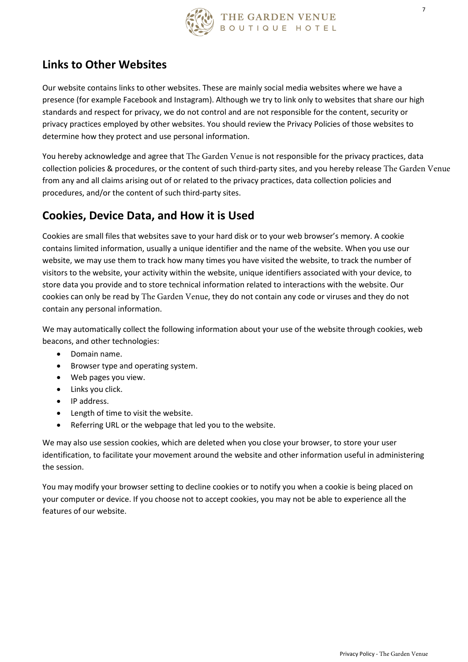

# **Links to Other Websites**

Our website contains links to other websites. These are mainly social media websites where we have a presence (for example Facebook and Instagram). Although we try to link only to websites that share our high standards and respect for privacy, we do not control and are not responsible for the content, security or privacy practices employed by other websites. You should review the Privacy Policies of those websites to determine how they protect and use personal information.

You hereby acknowledge and agree that The Garden Venue is not responsible for the privacy practices, data collection policies & procedures, or the content of such third-party sites, and you hereby release The Garden Venue from any and all claims arising out of or related to the privacy practices, data collection policies and procedures, and/or the content of such third-party sites.

# **Cookies, Device Data, and How it is Used**

Cookies are small files that websites save to your hard disk or to your web browser's memory. A cookie contains limited information, usually a unique identifier and the name of the website. When you use our website, we may use them to track how many times you have visited the website, to track the number of visitors to the website, your activity within the website, unique identifiers associated with your device, to store data you provide and to store technical information related to interactions with the website. Our cookies can only be read by The Garden Venue, they do not contain any code or viruses and they do not contain any personal information.

We may automatically collect the following information about your use of the website through cookies, web beacons, and other technologies:

- Domain name.
- Browser type and operating system.
- Web pages you view.
- Links you click.
- IP address.
- Length of time to visit the website.
- Referring URL or the webpage that led you to the website.

We may also use session cookies, which are deleted when you close your browser, to store your user identification, to facilitate your movement around the website and other information useful in administering the session.

You may modify your browser setting to decline cookies or to notify you when a cookie is being placed on your computer or device. If you choose not to accept cookies, you may not be able to experience all the features of our website.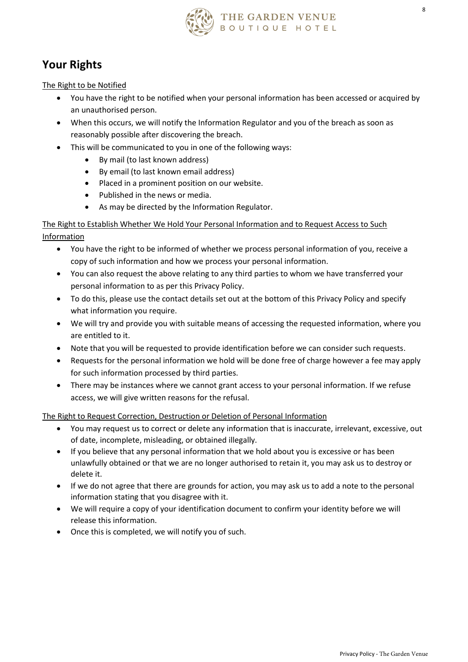

# **Your Rights**

The Right to be Notified

- You have the right to be notified when your personal information has been accessed or acquired by an unauthorised person.
- When this occurs, we will notify the Information Regulator and you of the breach as soon as reasonably possible after discovering the breach.
- This will be communicated to you in one of the following ways:
	- By mail (to last known address)
	- By email (to last known email address)
	- Placed in a prominent position on our website.
	- Published in the news or media.
	- As may be directed by the Information Regulator.

The Right to Establish Whether We Hold Your Personal Information and to Request Access to Such Information

- You have the right to be informed of whether we process personal information of you, receive a copy of such information and how we process your personal information.
- You can also request the above relating to any third parties to whom we have transferred your personal information to as per this Privacy Policy.
- To do this, please use the contact details set out at the bottom of this Privacy Policy and specify what information you require.
- We will try and provide you with suitable means of accessing the requested information, where you are entitled to it.
- Note that you will be requested to provide identification before we can consider such requests.
- Requests for the personal information we hold will be done free of charge however a fee may apply for such information processed by third parties.
- There may be instances where we cannot grant access to your personal information. If we refuse access, we will give written reasons for the refusal.

The Right to Request Correction, Destruction or Deletion of Personal Information

- You may request us to correct or delete any information that is inaccurate, irrelevant, excessive, out of date, incomplete, misleading, or obtained illegally.
- If you believe that any personal information that we hold about you is excessive or has been unlawfully obtained or that we are no longer authorised to retain it, you may ask us to destroy or delete it.
- If we do not agree that there are grounds for action, you may ask us to add a note to the personal information stating that you disagree with it.
- We will require a copy of your identification document to confirm your identity before we will release this information.
- Once this is completed, we will notify you of such.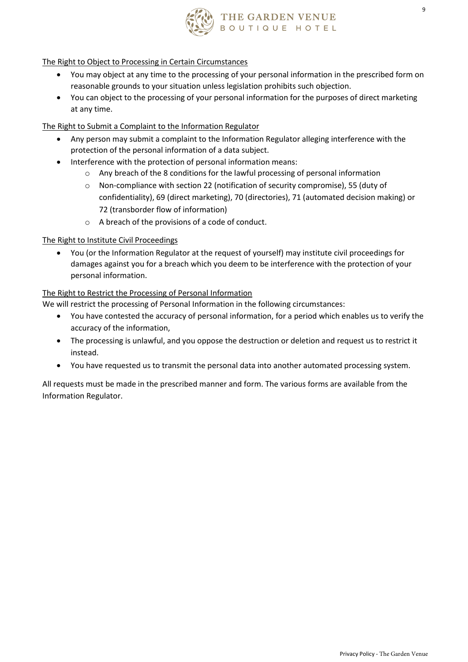

# THE GARDEN VENUE<br>воυтіа<mark>uе ноте</mark>ц

#### The Right to Object to Processing in Certain Circumstances

- You may object at any time to the processing of your personal information in the prescribed form on reasonable grounds to your situation unless legislation prohibits such objection.
- You can object to the processing of your personal information for the purposes of direct marketing at any time.

#### The Right to Submit a Complaint to the Information Regulator

- Any person may submit a complaint to the Information Regulator alleging interference with the protection of the personal information of a data subject.
- Interference with the protection of personal information means:
	- o Any breach of the 8 conditions for the lawful processing of personal information
	- o Non-compliance with section 22 (notification of security compromise), 55 (duty of confidentiality), 69 (direct marketing), 70 (directories), 71 (automated decision making) or 72 (transborder flow of information)
	- o A breach of the provisions of a code of conduct.

#### The Right to Institute Civil Proceedings

• You (or the Information Regulator at the request of yourself) may institute civil proceedings for damages against you for a breach which you deem to be interference with the protection of your personal information.

#### The Right to Restrict the Processing of Personal Information

We will restrict the processing of Personal Information in the following circumstances:

- You have contested the accuracy of personal information, for a period which enables us to verify the accuracy of the information,
- The processing is unlawful, and you oppose the destruction or deletion and request us to restrict it instead.
- You have requested us to transmit the personal data into another automated processing system.

All requests must be made in the prescribed manner and form. The various forms are available from the Information Regulator.